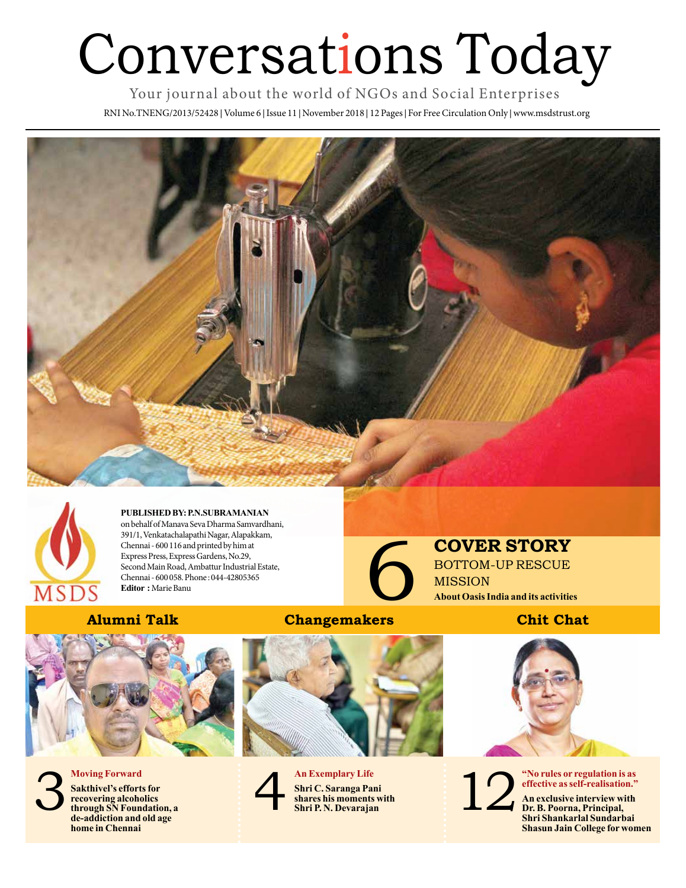# Conversations Today

Your journal about the world of NGOs and Social Enterprises

RNI No.TNENG/2013/52428 **|** Volume 6 **|** Issue 11 **|** November 2018 **|** 12 Pages **|** For Free Circulation Only **|** www.msdstrust.org





**PUBLISHED BY: P.N.SUBRAMANIAN**  on behalf of Manava Seva Dharma Samvardhani, 391/1, Venkatachalapathi Nagar, Alapakkam, Chennai - 600 116 and printed by him at Express Press, Express Gardens, No.29, Second Main Road, Ambattur Industrial Estate, Chennai - 600 058. Phone : 044-42805365 **Editor :** Marie Banu

## **Alumni Talk Changemakers**



**Moving Forward Sakthivel's efforts for recovering alcoholics through SN Foundation, a de-addiction and old age** 

**home in Chennai**





**COVER STORY**<br>BOTTOM-UP RESCUE<br>MISSION<br>About Oasis India and its activities<br>Chit Chat BOTTOM-UP RESCUE MISSION **About Oasis India and its activities**



12

**"No rules or regulation is as effective as self-realisation."**

**An exclusive interview with Dr. B. Poorna, Principal, Shri Shankarlal Sundarbai Shasun Jain College for women**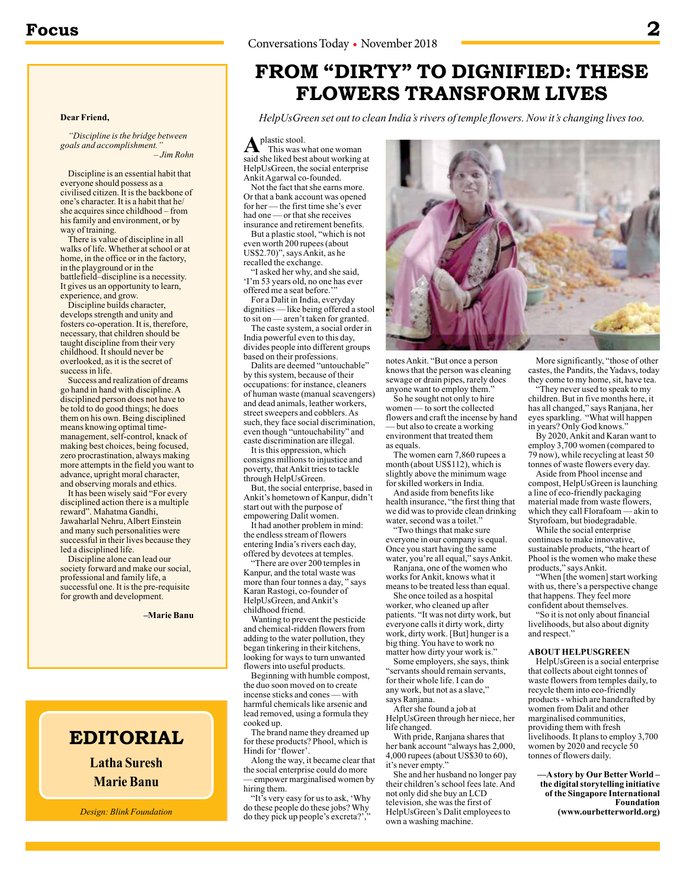**Dear Friend,**

way of training.

*"Discipline is the bridge between* 

Discipline is an essential habit that

There is value of discipline in all walks of life. Whether at school or at home, in the office or in the factory,

battlefield–discipline is a necessity. It gives us an opportunity to learn,

Success and realization of dreams go hand in hand with discipline. A disciplined person does not have to be told to do good things; he does them on his own. Being disciplined means knowing optimal timemanagement, self-control, knack of making best choices, being focused, zero procrastination, always making more attempts in the field you want to advance, upright moral character, and observing morals and ethics. It has been wisely said "For every disciplined action there is a multiple reward". Mahatma Gandhi, Jawaharlal Nehru, Albert Einstein and many such personalities were successful in their lives because they

Discipline builds character, develops strength and unity and fosters co-operation. It is, therefore, necessary, that children should be taught discipline from their very childhood. It should never be overlooked, as it is the secret of

 *– Jim Rohn*

*goals and accomplishment."*

everyone should possess as a civilised citizen. It is the backbone of one's character. It is a habit that he/ she acquires since childhood – from his family and environment, or by

in the playground or in the

experience, and grow.

success in life.

led a disciplined life.

Discipline alone can lead our society forward and make our social, professional and family life, a successful one. It is the pre-requisite for growth and development.

**–Marie Banu**

# **FROM "DIRTY" TO DIGNIFIED: THESE FLOWERS TRANSFORM LIVES**

*HelpUsGreen set out to clean India's rivers of temple flowers. Now it's changing lives too.*

A<sup>plastic</sup> stool. This was what one woman said she liked best about working at HelpUsGreen, the social enterprise Ankit Agarwal co-founded.

Not the fact that she earns more. Or that a bank account was opened for her — the first time she's ever had one — or that she receives insurance and retirement benefits.

But a plastic stool, "which is not even worth 200 rupees (about US\$2.70)", says Ankit, as he recalled the exchange.

"I asked her why, and she said, 'I'm 53 years old, no one has ever offered me a seat before.'"

For a Dalit in India, everyday dignities — like being offered a stool to sit on — aren't taken for granted.

The caste system, a social order in India powerful even to this day, divides people into different groups based on their professions.

Dalits are deemed "untouchable" by this system, because of their occupations: for instance, cleaners of human waste (manual scavengers) and dead animals, leather workers, street sweepers and cobblers. As such, they face social discrimination, even though "untouchability" and caste discrimination are illegal.

It is this oppression, which consigns millions to injustice and poverty, that Ankit tries to tackle through HelpUsGreen.

But, the social enterprise, based in Ankit's hometown of Kanpur, didn't start out with the purpose of empowering Dalit women.

It had another problem in mind: the endless stream of flowers entering India's rivers each day, offered by devotees at temples.

"There are over 200 temples in Kanpur, and the total waste was more than four tonnes a day, " says Karan Rastogi, co-founder of HelpUsGreen, and Ankit's childhood friend.

Wanting to prevent the pesticide and chemical-ridden flowers from adding to the water pollution, they began tinkering in their kitchens, looking for ways to turn unwanted flowers into useful products.

Beginning with humble compost, the duo soon moved on to create incense sticks and cones — with harmful chemicals like arsenic and lead removed, using a formula they cooked up.

The brand name they dreamed up for these products? Phool, which is Hindi for 'flower'.

Along the way, it became clear that the social enterprise could do more — empower marginalised women by hiring them.

"It's very easy for us to ask, 'Why do these people do these jobs? Why do they pick up people's excreta?',



notes Ankit. "But once a person knows that the person was cleaning sewage or drain pipes, rarely does anyone want to employ them.'

So he sought not only to hire women — to sort the collected flowers and craft the incense by hand - but also to create a working environment that treated them as equals.

The women earn 7,860 rupees a month (about US\$112), which is slightly above the minimum wage for skilled workers in India.

And aside from benefits like health insurance, "the first thing that we did was to provide clean drinking water, second was a toilet.

"Two things that make sure everyone in our company is equal. Once you start having the same water, you're all equal," says Ankit.

Ranjana, one of the women who works for Ankit, knows what it means to be treated less than equal. She once toiled as a hospital

worker, who cleaned up after patients. "It was not dirty work, but everyone calls it dirty work, dirty work, dirty work. [But] hunger is a big thing. You have to work no matter how dirty your work is.

Some employers, she says, think "servants should remain servants, for their whole life. I can do any work, but not as a slave," says Ranjana.

After she found a job at HelpUsGreen through her niece, her life changed.

With pride, Ranjana shares that her bank account "always has 2,000,  $4,000$  rupees (about US\$30 to 60), it's never empty'

She and her husband no longer pay their children's school fees late. And not only did she buy an LCD television, she was the first of HelpUsGreen's Dalit employees to own a washing machine.

More significantly, "those of other castes, the Pandits, the Yadavs, today they come to my home, sit, have tea.

"They never used to speak to my children. But in five months here, it has all changed," says Ranjana, her eyes sparkling. "What will happen in years? Only God knows.'

By 2020, Ankit and Karan want to employ 3,700 women (compared to 79 now), while recycling at least 50 tonnes of waste flowers every day.

Aside from Phool incense and compost, HelpUsGreen is launching a line of eco-friendly packaging material made from waste flowers, which they call Florafoam — akin to Styrofoam, but biodegradable.

While the social enterprise continues to make innovative, sustainable products, "the heart of Phool is the women who make these products," says Ankit.

"When [the women] start working with us, there's a perspective change that happens. They feel more confident about themselves.

"So it is not only about financial livelihoods, but also about dignity and respect.'

### **ABOUT HELPUSGREEN**

HelpUsGreen is a social enterprise that collects about eight tonnes of waste flowers from temples daily, to recycle them into eco-friendly products - which are handcrafted by women from Dalit and other marginalised communities, providing them with fresh livelihoods. It plans to employ 3,700 women by  $2020$  and recycle  $50$ tonnes of flowers daily.

**—A story by Our Better World – the digital storytelling initiative of the Singapore International Foundation (www.ourbetterworld.org)**

*Design: Blink Foundation*

**EDITORIAL**

**Latha Suresh**

**Marie Banu**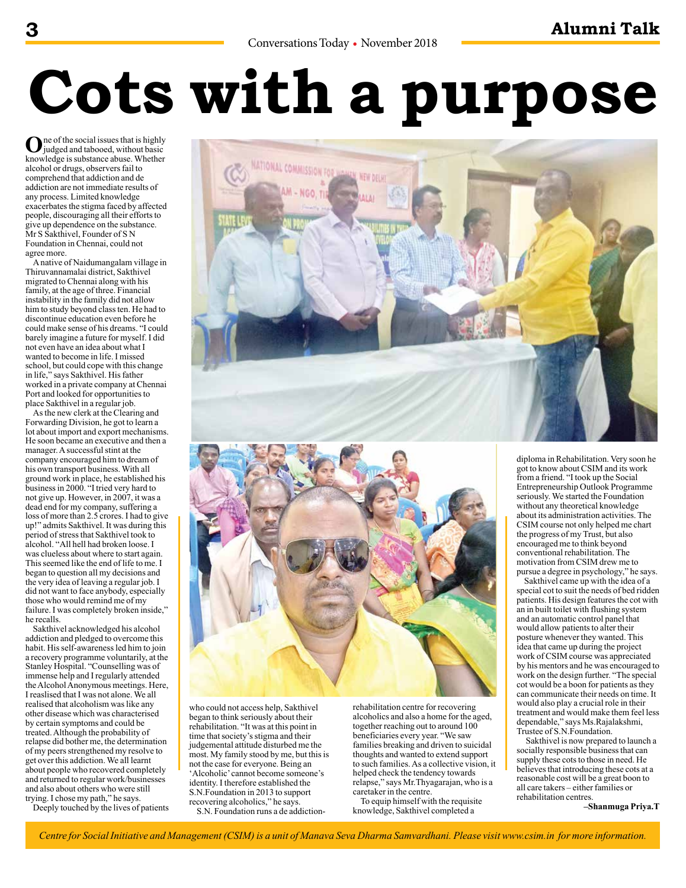# **Cots with a purpose**

**O**ne of the social issues that is highly judged and tabooed, without basic knowledge is substance abuse. Whether alcohol or drugs, observers fail to comprehend that addiction and de addiction are not immediate results of any process. Limited knowledge exacerbates the stigma faced by affected people, discouraging all their efforts to give up dependence on the substance. Mr S Sakthivel, Founder of S N Foundation in Chennai, could not agree more.

A native of Naidumangalam village in Thiruvannamalai district, Sakthivel migrated to Chennai along with his family, at the age of three. Financial instability in the family did not allow him to study beyond class ten. He had to discontinue education even before he could make sense of his dreams. "I could barely imagine a future for myself. I did not even have an idea about what I wanted to become in life. I missed school, but could cope with this change in life," says Sakthivel. His father worked in a private company at Chennai Port and looked for opportunities to place Sakthivel in a regular job.

As the new clerk at the Clearing and Forwarding Division, he got to learn a lot about import and export mechanisms. He soon became an executive and then a manager. A successful stint at the company encouraged him to dream of his own transport business. With all ground work in place, he established his business in 2000. "I tried very hard to not give up. However, in 2007, it was a dead end for my company, suffering a loss of more than  $2.5$  crores. I had to give up!" admits Sakthivel. It was during this period of stress that Sakthivel took to alcohol. "All hell had broken loose. I was clueless about where to start again. This seemed like the end of life to me. I began to question all my decisions and the very idea of leaving a regular job. I did not want to face anybody, especially those who would remind me of my failure. I was completely broken inside," he recalls.

Sakthivel acknowledged his alcohol addiction and pledged to overcome this habit. His self-awareness led him to join a recovery programme voluntarily, at the Stanley Hospital. "Counselling was of immense help and I regularly attended the Alcohol Anonymous meetings. Here, I reaslised that I was not alone. We all realised that alcoholism was like any other disease which was characterised by certain symptoms and could be treated. Although the probability of relapse did bother me, the determination of my peers strengthened my resolve to get over this addiction. We all learnt about people who recovered completely and returned to regular work/businesses and also about others who were still trying. I chose my path," he says.

Deeply touched by the lives of patients





who could not access help, Sakthivel began to think seriously about their rehabilitation. "It was at this point in time that society's stigma and their judgemental attitude disturbed me the most. My family stood by me, but this is not the case for everyone. Being an 'Alcoholic' cannot become someone's identity. I therefore established the S.N.Foundation in 2013 to support recovering alcoholics," he says. S.N. Foundation runs a de addictionrehabilitation centre for recovering alcoholics and also a home for the aged, together reaching out to around 100 beneficiaries every year. "We saw families breaking and driven to suicidal thoughts and wanted to extend support to such families. As a collective vision, it helped check the tendency towards relapse," says Mr.Thyagarajan, who is a caretaker in the centre.

To equip himself with the requisite knowledge, Sakthivel completed a

diploma in Rehabilitation. Very soon he got to know about CSIM and its work from a friend. "I took up the Social Entrepreneurship Outlook Programme seriously. We started the Foundation without any theoretical knowledge about its administration activities. The CSIM course not only helped me chart the progress of my Trust, but also encouraged me to think beyond conventional rehabilitation. The motivation from CSIM drew me to pursue a degree in psychology," he says.

Sakthivel came up with the idea of a special cot to suit the needs of bed ridden patients. His design features the cot with an in built toilet with flushing system and an automatic control panel that would allow patients to alter their posture whenever they wanted. This idea that came up during the project work of CSIM course was appreciated by his mentors and he was encouraged to work on the design further. "The special cot would be a boon for patients as they can communicate their needs on time. It would also play a crucial role in their treatment and would make them feel less dependable," says Ms.Rajalakshmi, Trustee of S.N.Foundation.

 Sakthivel is now prepared to launch a socially responsible business that can supply these cots to those in need. He believes that introducing these cots at a reasonable cost will be a great boon to all care takers – either families or rehabilitation centres.

**–Shanmuga Priya.T**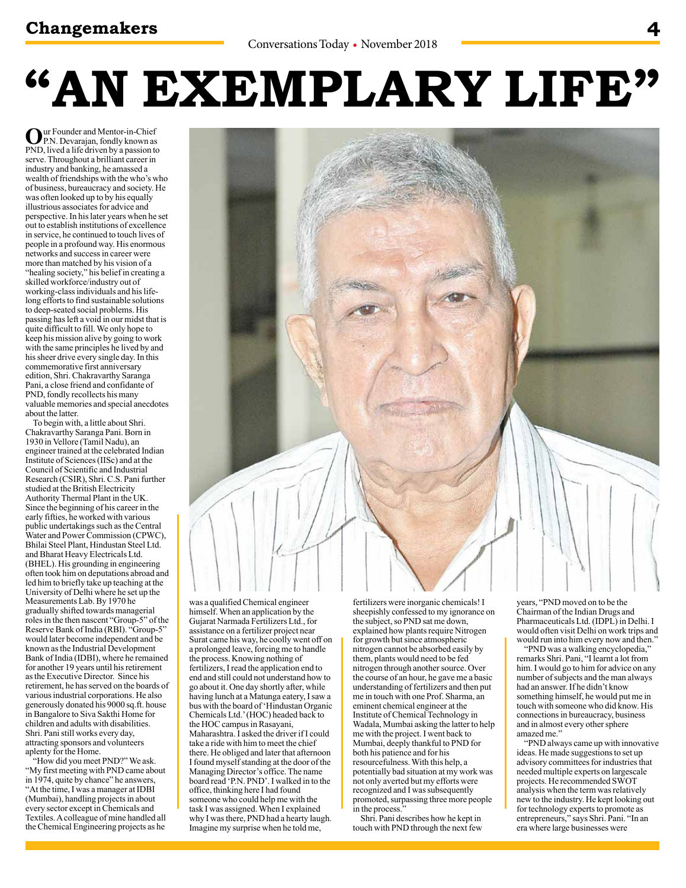## **Changemakers 4**

# **"AN EXEMPLARY LIFE"**

**O**ur Founder and Mentor-in-Chief<br>P.N. Devarajan, fondly known as PND, lived a life driven by a passion to serve. Throughout a brilliant career in industry and banking, he amassed a wealth of friendships with the who's who of business, bureaucracy and society. He was often looked up to by his equally illustrious associates for advice and perspective. In his later years when he set out to establish institutions of excellence in service, he continued to touch lives of people in a profound way. His enormous networks and success in career were more than matched by his vision of a "healing society," his belief in creating a skilled workforce/industry out of working-class individuals and his lifelong efforts to find sustainable solutions to deep-seated social problems. His passing has left a void in our midst that is quite difficult to fill. We only hope to keep his mission alive by going to work with the same principles he lived by and his sheer drive every single day. In this commemorative first anniversary edition, Shri. Chakravarthy Saranga Pani, a close friend and confidante of PND, fondly recollects his many valuable memories and special anecdotes about the latter.

To begin with, a little about Shri. Chakravarthy Saranga Pani. Born in 1930 in Vellore (Tamil Nadu), an engineer trained at the celebrated Indian Institute of Sciences (IISc) and at the Council of Scientific and Industrial Research (CSIR), Shri. C.S. Pani further studied at the British Electricity Authority Thermal Plant in the UK. Since the beginning of his career in the early fifties, he worked with various public undertakings such as the Central Water and Power Commission (CPWC), Bhilai Steel Plant, Hindustan Steel Ltd. and Bharat Heavy Electricals Ltd. (BHEL). His grounding in engineering often took him on deputations abroad and led him to briefly take up teaching at the University of Delhi where he set up the Measurements Lab. By 1970 he gradually shifted towards managerial roles in the then nascent "Group-5" of the Reserve Bank of India (RBI). "Group-5" would later become independent and be known as the Industrial Development Bank of India (IDBI), where he remained for another  $19$  years until his retirement as the Executive Director. Since his retirement, he has served on the boards of various industrial corporations. He also generously donated his 9000 sq.ft. house in Bangalore to Siva Sakthi Home for children and adults with disabilities. Shri. Pani still works every day, attracting sponsors and volunteers aplenty for the Home.

"How did you meet PND?" We ask. "My first meeting with PND came about in 1974, quite by chance" he answers, "At the time, I was a manager at IDBI (Mumbai), handling projects in about every sector except in Chemicals and Textiles. A colleague of mine handled all the Chemical Engineering projects as he

was a qualified Chemical engineer himself. When an application by the Gujarat Narmada Fertilizers Ltd., for assistance on a fertilizer project near Surat came his way, he coolly went off on a prolonged leave, forcing me to handle the process. Knowing nothing of fertilizers, I read the application end to end and still could not understand how to go about it. One day shortly after, while having lunch at a Matunga eatery, I saw a bus with the board of 'Hindustan Organic Chemicals Ltd.' (HOC) headed back to the HOC campus in Rasayani, Maharashtra. I asked the driver if I could take a ride with him to meet the chief there. He obliged and later that afternoon I found myself standing at the door of the Managing Director's office. The name board read 'P.N. PND'. I walked in to the office, thinking here I had found someone who could help me with the task I was assigned. When I explained why I was there, PND had a hearty laugh. Imagine my surprise when he told me,

fertilizers were inorganic chemicals! I sheepishly confessed to my ignorance on the subject, so PND sat me down, explained how plants require Nitrogen for growth but since atmospheric nitrogen cannot be absorbed easily by them, plants would need to be fed nitrogen through another source. Over the course of an hour, he gave me a basic understanding of fertilizers and then put me in touch with one Prof. Sharma, an eminent chemical engineer at the Institute of Chemical Technology in Wadala, Mumbai asking the latter to help me with the project. I went back to Mumbai, deeply thankful to PND for both his patience and for his resourcefulness. With this help, a potentially bad situation at my work was not only averted but my efforts were recognized and I was subsequently promoted, surpassing three more people in the process.

Shri. Pani describes how he kept in touch with PND through the next few

years, "PND moved on to be the Chairman of the Indian Drugs and Pharmaceuticals Ltd. (IDPL) in Delhi. I would often visit Delhi on work trips and would run into him every now and then."

"PND was a walking encyclopedia," remarks Shri. Pani, "I learnt a lot from him. I would go to him for advice on any number of subjects and the man always had an answer. If he didn't know something himself, he would put me in touch with someone who did know. His connections in bureaucracy, business and in almost every other sphere amazed me.'

"PND always came up with innovative ideas. He made suggestions to set up advisory committees for industries that needed multiple experts on largescale projects. He recommended SWOT analysis when the term was relatively new to the industry. He kept looking out for technology experts to promote as entrepreneurs," says Shri. Pani. "In an era where large businesses were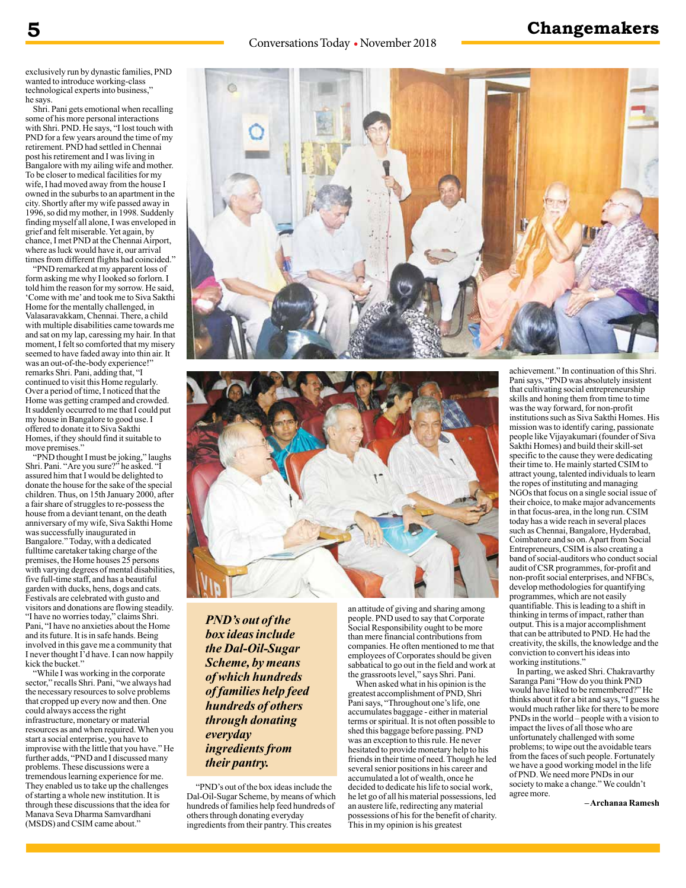### Conversations Today • November 2018

## **5 Changemakers**

exclusively run by dynastic families, PND wanted to introduce working-class technological experts into business," he says.

Shri. Pani gets emotional when recalling some of his more personal interactions with Shri. PND. He says, "I lost touch with PND for a few years around the time of my retirement. PND had settled in Chennai post his retirement and I was living in Bangalore with my ailing wife and mother. To be closer to medical facilities for my wife, I had moved away from the house I owned in the suburbs to an apartment in the city. Shortly after my wife passed away in 1996, so did my mother, in 1998. Suddenly finding myself all alone, I was enveloped in grief and felt miserable. Yet again, by chance, I met PND at the Chennai Airport, where as luck would have it, our arrival times from different flights had coincided."

"PND remarked at my apparent loss of form asking me why I looked so forlorn. I told him the reason for my sorrow. He said, 'Come with me' and took me to Siva Sakthi Home for the mentally challenged, in Valasaravakkam, Chennai. There, a child with multiple disabilities came towards me and sat on my lap, caressing my hair. In that moment, I felt so comforted that my misery seemed to have faded away into thin air. It was an out-of-the-body experience!" remarks Shri. Pani, adding that, "I continued to visit this Home regularly. Over a period of time, I noticed that the Home was getting cramped and crowded. It suddenly occurred to me that I could put my house in Bangalore to good use. I offered to donate it to Siva Sakthi Homes, if they should find it suitable to move premises."

"PND thought I must be joking," laughs Shri. Pani. "Are you sure?" he asked. "I assured him that I would be delighted to donate the house for the sake of the special children. Thus, on 15th January 2000, after a fair share of struggles to re-possess the house from a deviant tenant, on the death anniversary of my wife, Siva Sakthi Home was successfully inaugurated in Bangalore." Today, with a dedicated fulltime caretaker taking charge of the premises, the Home houses 25 persons with varying degrees of mental disabilities. five full-time staff, and has a beautiful garden with ducks, hens, dogs and cats. Festivals are celebrated with gusto and visitors and donations are flowing steadily. "I have no worries today," claims Shri. Pani, "I have no anxieties about the Home and its future. It is in safe hands. Being involved in this gave me a community that I never thought I'd have. I can now happily kick the bucket.'

"While I was working in the corporate sector," recalls Shri. Pani, "we always had the necessary resources to solve problems that cropped up every now and then. One could always access the right infrastructure, monetary or material resources as and when required. When you start a social enterprise, you have to improvise with the little that you have." He further adds, "PND and I discussed many problems. These discussions were a tremendous learning experience for me. They enabled us to take up the challenges of starting a whole new institution. It is through these discussions that the idea for Manava Seva Dharma Samvardhani (MSDS) and CSIM came about."





*PND's out of the box ideas include the Dal-Oil-Sugar Scheme, by means of which hundreds of families help feed hundreds of others through donating everyday ingredients from their pantry.*

 "PND's out of the box ideas include the Dal-Oil-Sugar Scheme, by means of which hundreds of families help feed hundreds of others through donating everyday ingredients from their pantry. This creates

an attitude of giving and sharing among people. PND used to say that Corporate Social Responsibility ought to be more than mere financial contributions from companies. He often mentioned to me that employees of Corporates should be given sabbatical to go out in the field and work at the grassroots level," says Shri. Pani.

When asked what in his opinion is the greatest accomplishment of PND, Shri Pani says, "Throughout one's life, one accumulates baggage - either in material terms or spiritual. It is not often possible to shed this baggage before passing. PND was an exception to this rule. He never hesitated to provide monetary help to his friends in their time of need. Though he led several senior positions in his career and accumulated a lot of wealth, once he decided to dedicate his life to social work, he let go of all his material possessions, led an austere life, redirecting any material possessions of his for the benefit of charity. This in my opinion is his greatest

achievement." In continuation of this Shri. Pani says, "PND was absolutely insistent that cultivating social entrepreneurship skills and honing them from time to time was the way forward, for non-profit institutions such as Siva Sakthi Homes. His mission was to identify caring, passionate people like Vijayakumari (founder of Siva Sakthi Homes) and build their skill-set specific to the cause they were dedicating their time to. He mainly started CSIM to attract young, talented individuals to learn the ropes of instituting and managing NGOs that focus on a single social issue of their choice, to make major advancements in that focus-area, in the long run. CSIM today has a wide reach in several places such as Chennai, Bangalore, Hyderabad, Coimbatore and so on. Apart from Social Entrepreneurs, CSIM is also creating a band of social-auditors who conduct social audit of CSR programmes, for-profit and non-profit social enterprises, and NFBCs, develop methodologies for quantifying programmes, which are not easily quantifiable. This is leading to a shift in thinking in terms of impact, rather than output. This is a major accomplishment that can be attributed to PND. He had the creativity, the skills, the knowledge and the conviction to convert his ideas into working institutions."

In parting, we asked Shri. Chakravarthy Saranga Pani "How do you think PND would have liked to be remembered?" He thinks about it for a bit and says, "I guess he would much rather like for there to be more PNDs in the world – people with a vision to impact the lives of all those who are unfortunately challenged with some problems; to wipe out the avoidable tears from the faces of such people. Fortunately we have a good working model in the life of PND. We need more PNDs in our society to make a change." We couldn't agree more.

**– Archanaa Ramesh**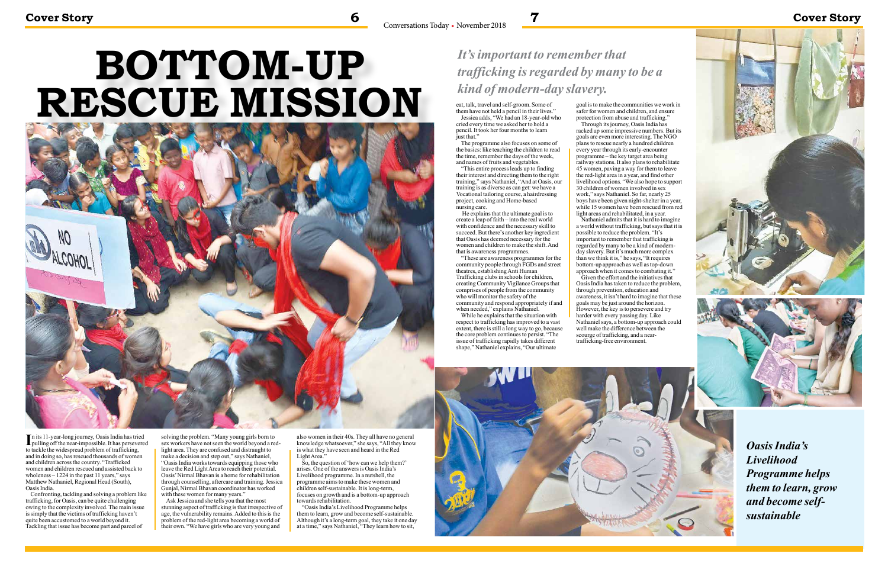# **BOTTOM-UP RESCUE MISSION**



# **Cover Story 6 7 Cover Story**

In its 11-year-long journey, Oasis India has tried<br>pulling off the near-impossible. It has persevered **L** pulling off the near-impossible. It has persevered to tackle the widespread problem of trafficking, and in doing so, has rescued thousands of women and children across the country. "Trafficked women and children rescued and assisted back to wholeness  $-1224$  in the past 11 years," says Matthew Nathaniel, Regional Head (South), Oasis India.

solving the problem. "Many young girls born to sex workers have not seen the world beyond a redlight area. They are confused and distraught to make a decision and step out," says Nathaniel, "Oasis India works towards equipping those who leave the Red Light Area to reach their potential. Oasis' Nirmal Bhavan is a home for rehabilitation through counselling, aftercare and training. Jessica Gunjal, Nirmal Bhavan coordinator has worked with these women for many years."

Confronting, tackling and solving a problem like trafficking, for Oasis, can be quite challenging owing to the complexity involved. The main issue is simply that the victims of trafficking haven't quite been accustomed to a world beyond it. Tackling that issue has become part and parcel of

Ask Jessica and she tells you that the most stunning aspect of trafficking is that irrespective of age, the vulnerability remains. Added to this is the problem of the red-light area becoming a world of their own. "We have girls who are very young and

also women in their 40s. They all have no general knowledge whatsoever," she says, "All they know is what they have seen and heard in the Red Light Area."

eat, talk, travel and self-groom. Some of them have not held a pencil in their lives." Jessica adds, "We had an 18-year-old who cried every time we asked her to hold a pencil. It took her four months to learn just that."

So, the question of 'how can we help them?' arises. One of the answers is Oasis India's Livelihood programme. In a nutshell, the programme aims to make these women and children self-sustainable. It is long-term, focuses on growth and is a bottom-up approach towards rehabilitation.

"Oasis India's Livelihood Programme helps them to learn, grow and become self-sustainable. Although it's a long-term goal, they take it one day at a time," says Nathaniel, "They learn how to sit,



# *It's important to remember that trafficking is regarded by many to be a kind of modern-day slavery.*

The programme also focuses on some of the basics: like teaching the children to read the time, remember the days of the week, and names of fruits and vegetables.

"This entire process leads up to finding their interest and directing them to the right training," says Nathaniel, "And at Oasis, our training is as diverse as can get: we have a Vocational tailoring course, a hairdressing project, cooking and Home-based nursing care.

 He explains that the ultimate goal is to create a leap of faith – into the real world with confidence and the necessary skill to succeed. But there's another key ingredient that Oasis has deemed necessary for the women and children to make the shift. And that is awareness programmes.

"These are awareness programmes for the community people through FGDs and street theatres, establishing Anti Human Trafficking clubs in schools for children, creating Community Vigilance Groups that comprises of people from the community who will monitor the safety of the community and respond appropriately if and when needed," explains Nathaniel.

While he explains that the situation with respect to trafficking has improved to a vast extent, there is still a long way to go, because the core problem continues to persist. "The issue of trafficking rapidly takes different shape," Nathaniel explains, "Our ultimate

goal is to make the communities we work in safer for women and children, and ensure protection from abuse and trafficking."

Through its journey, Oasis India has racked up some impressive numbers. But its goals are even more interesting. The NGO plans to rescue nearly a hundred children every year through its early-encounter programme – the key target area being railway stations. It also plans to rehabilitate 45 women, paving a way for them to leave the red-light area in a year, and find other livelihood options. "We also hope to support 30 children of women involved in sex work," says Nathaniel. So far, nearly 25 boys have been given night-shelter in a year, while 15 women have been rescued from red light areas and rehabilitated, in a year.

Nathaniel admits that it is hard to imagine a world without trafficking, but says that it is possible to reduce the problem. "It's important to remember that trafficking is regarded by many to be a kind of modernday slavery. But it's much more complex than we think it is," he says, "It requires bottom-up approach as well as top-down approach when it comes to combating it."

Given the effort and the initiatives that Oasis India has taken to reduce the problem, through prevention, education and awareness, it isn't hard to imagine that these goals may be just around the horizon. However, the key is to persevere and try harder with every passing day. Like Nathaniel says, a bottom-up approach could well make the difference between the scourge of trafficking, and a neartrafficking-free environment.





*Oasis India's Livelihood Programme helps them to learn, grow and become selfsustainable*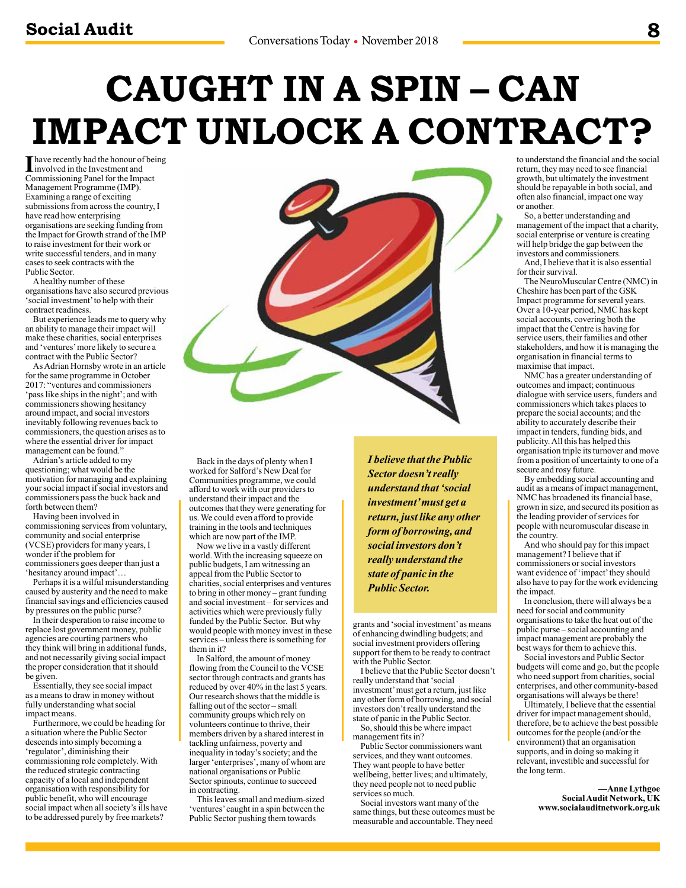# **CAUGHT IN A SPIN – CAN IMPACT UNLOCK A CONTRACT?**

Involved in the Investment and<br>
Commissioning Panel for the Invest involved in the Investment and Commissioning Panel for the Impact Management Programme (IMP). Examining a range of exciting submissions from across the country, I have read how enterprising organisations are seeking funding from the Impact for Growth strand of the IMP to raise investment for their work or write successful tenders, and in many cases to seek contracts with the Public Sector.

A healthy number of these organisations have also secured previous 'social investment' to help with their contract readiness.

But experience leads me to query why an ability to manage their impact will make these charities, social enterprises and 'ventures' more likely to secure a contract with the Public Sector?

As Adrian Hornsby wrote in an article for the same programme in October 2017: "ventures and commissioners 'pass like ships in the night'; and with commissioners showing hesitancy around impact, and social investors inevitably following revenues back to commissioners, the question arises as to where the essential driver for impact management can be found."

Adrian's article added to my questioning; what would be the motivation for managing and explaining your social impact if social investors and commissioners pass the buck back and forth between them?

Having been involved in commissioning services from voluntary, community and social enterprise (VCSE) providers for many years, I wonder if the problem for commissioners goes deeper than just a 'hesitancy around impact'…

Perhaps it is a wilful misunderstanding caused by austerity and the need to make financial savings and efficiencies caused by pressures on the public purse?

In their desperation to raise income to replace lost government money, public agencies are courting partners who they think will bring in additional funds, and not necessarily giving social impact the proper consideration that it should be given.

Essentially, they see social impact as a means to draw in money without fully understanding what social impact means.

Furthermore, we could be heading for a situation where the Public Sector descends into simply becoming a 'regulator', diminishing their commissioning role completely. With the reduced strategic contracting capacity of a local and independent organisation with responsibility for public benefit, who will encourage social impact when all society's ills have to be addressed purely by free markets?

Back in the days of plenty when I worked for Salford's New Deal for Communities programme, we could afford to work with our providers to understand their impact and the outcomes that they were generating for us. We could even afford to provide training in the tools and techniques which are now part of the IMP.

Now we live in a vastly different world. With the increasing squeeze on public budgets, I am witnessing an appeal from the Public Sector to charities, social enterprises and ventures to bring in other money – grant funding and social investment – for services and activities which were previously fully funded by the Public Sector. But why would people with money invest in these services – unless there is something for them in it?

In Salford, the amount of money flowing from the Council to the VCSE sector through contracts and grants has reduced by over 40% in the last 5 years. Our research shows that the middle is falling out of the sector – small community groups which rely on volunteers continue to thrive, their members driven by a shared interest in tackling unfairness, poverty and inequality in today's society; and the larger 'enterprises', many of whom are national organisations or Public Sector spinouts, continue to succeed in contracting.

This leaves small and medium-sized 'ventures' caught in a spin between the Public Sector pushing them towards

*I believe that the Public Sector doesn't really understand that 'social investment' must get a return, just like any other form of borrowing, and social investors don't really understand the state of panic in the Public Sector.*

grants and 'social investment' as means of enhancing dwindling budgets; and social investment providers offering support for them to be ready to contract with the Public Sector.

I believe that the Public Sector doesn't really understand that 'social investment' must get a return, just like any other form of borrowing, and social investors don't really understand the state of panic in the Public Sector. So, should this be where impact

management fits in? Public Sector commissioners want

services, and they want outcomes. They want people to have better wellbeing, better lives; and ultimately, they need people not to need public services so much.

Social investors want many of the same things, but these outcomes must be measurable and accountable. They need

to understand the financial and the social return, they may need to see financial growth, but ultimately the investment should be repayable in both social, and often also financial, impact one way or another.

So, a better understanding and management of the impact that a charity, social enterprise or venture is creating will help bridge the gap between the investors and commissioners.

And, I believe that it is also essential for their survival.

The NeuroMuscular Centre (NMC) in Cheshire has been part of the GSK Impact programme for several years. Over a 10-year period, NMC has kept social accounts, covering both the impact that the Centre is having for service users, their families and other stakeholders, and how it is managing the organisation in financial terms to maximise that impact.

NMC has a greater understanding of outcomes and impact; continuous dialogue with service users, funders and commissioners which takes places to prepare the social accounts; and the ability to accurately describe their impact in tenders, funding bids, and publicity. All this has helped this organisation triple its turnover and move from a position of uncertainty to one of a secure and rosy future.

By embedding social accounting and audit as a means of impact management, NMC has broadened its financial base, grown in size, and secured its position as the leading provider of services for people with neuromuscular disease in the country.

And who should pay for this impact management? I believe that if commissioners or social investors want evidence of 'impact' they should also have to pay for the work evidencing the impact.

In conclusion, there will always be a need for social and community organisations to take the heat out of the public purse – social accounting and impact management are probably the best ways for them to achieve this.

Social investors and Public Sector budgets will come and go, but the people who need support from charities, social enterprises, and other community-based organisations will always be there!

Ultimately, I believe that the essential driver for impact management should, therefore, be to achieve the best possible outcomes for the people (and/or the environment) that an organisation supports, and in doing so making it relevant, investible and successful for the long term.

> **—Anne Lythgoe Social Audit Network, UK www.socialauditnetwork.org.uk**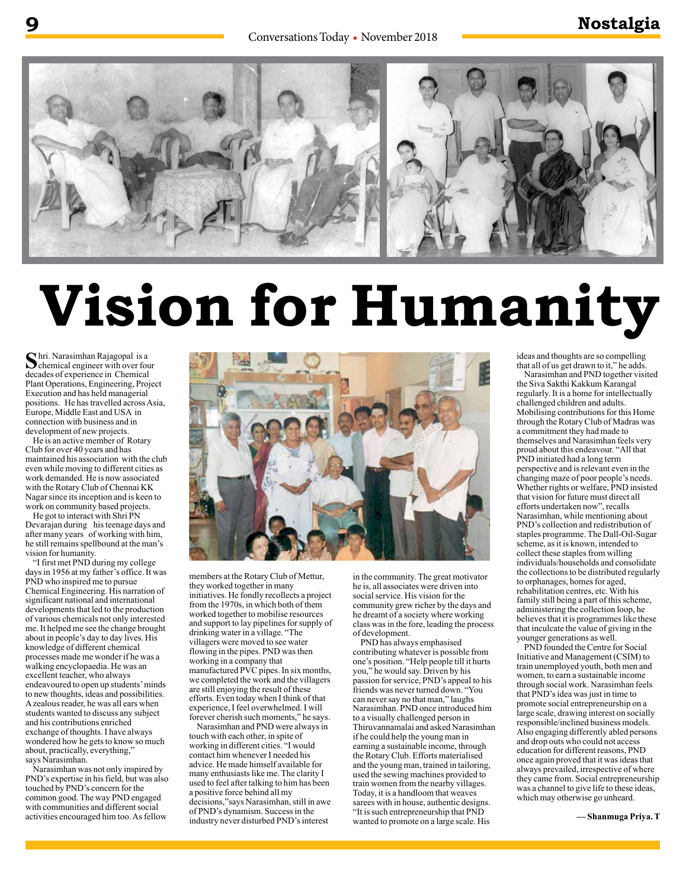

# **Vision for Humanity**

Shri. Narasimhan Rajagopal is a<br>
chemical engineer with over four<br>
decedes of superiores in Chemical decades of experience in Chemical Plant Operations, Engineering, Project Execution and has held managerial positions. He has travelled across Asia, Europe, Middle East and USA in connection with business and in development of new projects.

He is an active member of Rotary Club for over 40 years and has maintained his association with the club even while moving to different cities as work demanded. He is now associated with the Rotary Club of Chennai KK Nagar since its inception and is keen to work on community based projects.

He got to interact with Shri PN Devarajan during his teenage days and after many years of working with him, he still remains spellbound at the man's vision for humanity.

"I first met PND during my college days in 1956 at my father's office. It was PND who inspired me to pursue Chemical Engineering. His narration of significant national and international developments that led to the production of various chemicals not only interested me. It helped me see the change brought about in people's day to day lives. His knowledge of different chemical processes made me wonder if he was a walking encyclopaedia. He was an excellent teacher, who always endeavoured to open up students' minds to new thoughts, ideas and possibilities. A zealous reader, he was all ears when students wanted to discuss any subject and his contributions enriched exchange of thoughts. I have always wondered how he gets to know so much about, practically, everything, says Narasimhan.

Narasimhan was not only inspired by PND's expertise in his field, but was also touched by PND's concern for the common good. The way PND engaged with communities and different social activities encouraged him too. As fellow



members at the Rotary Club of Mettur, they worked together in many initiatives. He fondly recollects a project from the 1970s, in which both of them worked together to mobilise resources and support to lay pipelines for supply of drinking water in a village. "The villagers were moved to see water flowing in the pipes. PND was then working in a company that manufactured PVC pipes. In six months, we completed the work and the villagers are still enjoying the result of these efforts. Even today when I think of that experience, I feel overwhelmed. I will forever cherish such moments," he says.

Narasimhan and PND were always in touch with each other, in spite of working in different cities. "I would contact him whenever I needed his advice. He made himself available for many enthusiasts like me. The clarity I used to feel after talking to him has been a positive force behind all my decisions,"says Narasimhan, still in awe of PND's dynamism. Success in the industry never disturbed PND's interest

in the community. The great motivator he is, all associates were driven into social service. His vision for the community grew richer by the days and he dreamt of a society where working class was in the fore, leading the process of development.

PND has always emphasised contributing whatever is possible from one's position. "Help people till it hurts you," he would say. Driven by his passion for service, PND's appeal to his friends was never turned down. "You can never say no that man," laughs Narasimhan. PND once introduced him to a visually challenged person in Thiruvannamalai and asked Narasimhan if he could help the young man in earning a sustainable income, through the Rotary Club. Efforts materialised and the young man, trained in tailoring, used the sewing machines provided to train women from the nearby villages. Today, it is a handloom that weaves sarees with in house, authentic designs. "It is such entrepreneurship that PND wanted to promote on a large scale. His

ideas and thoughts are so compelling that all of us get drawn to it," he adds.

Narasimhan and PND together visited the Siva Sakthi Kakkum Karangal regularly. It is a home for intellectually challenged children and adults. Mobilising contributions for this Home through the Rotary Club of Madras was a commitment they had made to themselves and Narasimhan feels very proud about this endeavour. "All that PND initiated had a long term perspective and is relevant even in the changing maze of poor people's needs. Whether rights or welfare, PND insisted that vision for future must direct all efforts undertaken now", recalls Narasimhan, while mentioning about PND's collection and redistribution of staples programme. The Dall-Oil-Sugar scheme, as it is known, intended to collect these staples from willing individuals/households and consolidate the collections to be distributed regularly to orphanages, homes for aged, rehabilitation centres, etc. With his family still being a part of this scheme, administering the collection loop, he believes that it is programmes like these that inculcate the value of giving in the younger generations as well.

PND founded the Centre for Social Initiative and Management (CSIM) to train unemployed youth, both men and women, to earn a sustainable income through social work. Narasimhan feels that PND's idea was just in time to promote social entrepreneurship on a large scale, drawing interest on socially responsible/inclined business models. Also engaging differently abled persons and drop outs who could not access education for different reasons, PND once again proved that it was ideas that always prevailed, irrespective of where they came from. Social entrepreneurship was a channel to give life to these ideas, which may otherwise go unheard.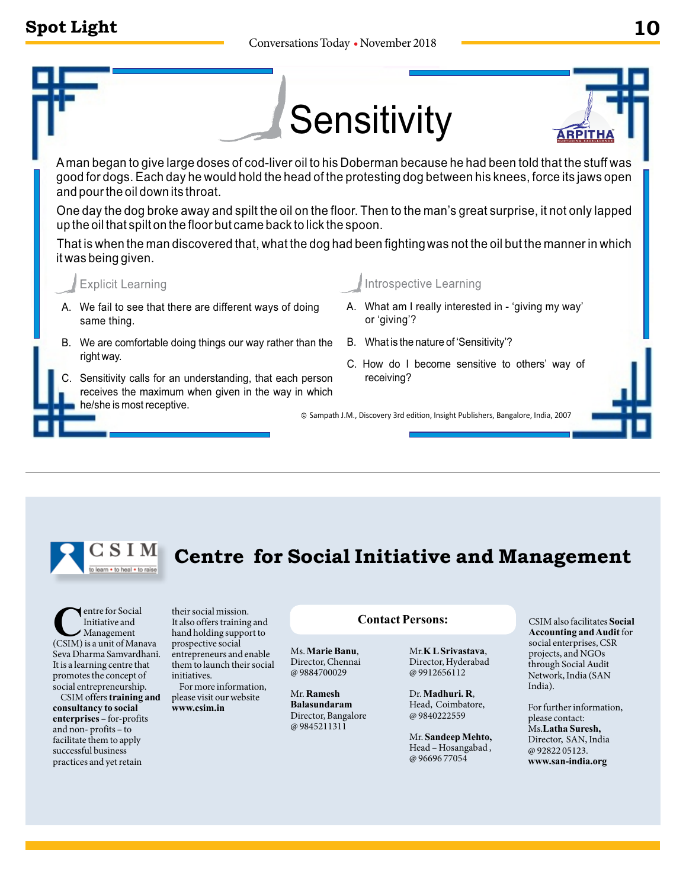# **Spot Light**





### **C**entre for Social<br>
Initiative and<br>
(CSIM) is a unit of Manava Initiative and Management Seva Dharma Samvardhani. It is a learning centre that promotes the concept of social entrepreneurship.

CSIM offers **training and consultancy to social enterprises** – for-profits and non- profits – to facilitate them to apply successful business practices and yet retain

their social mission. It also offers training and hand holding support to prospective social entrepreneurs and enable them to launch their social initiatives.

For more information, please visit our website **www.csim.in**

Mr. **Ramesh Balasundaram**  Director, Bangalore @ 9845211311

### **Contact Persons:**

**Centre for Social Initiative and Management**

Ms. **Marie Banu**, Director, Chennai @ 9884700029 Mr.**K L Srivastava**, Director, Hyderabad

@ 9912656112 Dr. **Madhuri. R**,

Head, Coimbatore, @ 9840222559

Mr. **Sandeep Mehto,** Head – Hosangabad , @ 96696 77054

CSIM also facilitates **Social Accounting and Audit** for social enterprises, CSR projects, and NGOs through Social Audit Network, India (SAN India).

For further information, please contact: Ms.**Latha Suresh,**  Director, SAN, India @ 92822 05123. **www.san-india.org**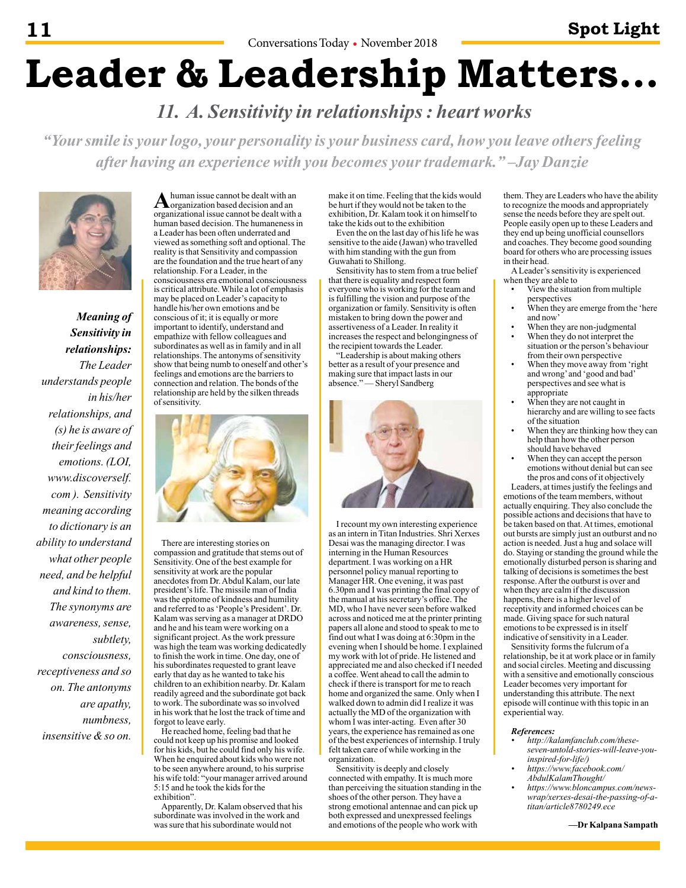# **Leader & Leadership Matters…**

 *11. A. Sensitivity in relationships : heart works*

*"Your smile is your logo, your personality is your business card, how you leave others feeling after having an experience with you becomes your trademark." –Jay Danzie*



*Meaning of Sensitivity in relationships: The Leader understands people in his/her relationships, and (s) he is aware of their feelings and emotions. (LOI, www.discoverself. com ). Sensitivity meaning according to dictionary is an ability to understand what other people need, and be helpful and kind to them. The synonyms are awareness, sense, subtlety, consciousness, receptiveness and so on. The antonyms are apathy, numbness, insensitive & so on.*

A human issue cannot be dealt with an organization based decision and an organizational issue cannot be dealt with a human based decision. The humaneness in a Leader has been often underrated and viewed as something soft and optional. The reality is that Sensitivity and compassion are the foundation and the true heart of any relationship. For a Leader, in the consciousness era emotional consciousness is critical attribute. While a lot of emphasis may be placed on Leader's capacity to handle his/her own emotions and be conscious of it; it is equally or more important to identify, understand and empathize with fellow colleagues and subordinates as well as in family and in all relationships. The antonyms of sensitivity show that being numb to oneself and other's feelings and emotions are the barriers to connection and relation. The bonds of the relationship are held by the silken threads of sensitivity.



There are interesting stories on compassion and gratitude that stems out of Sensitivity. One of the best example for sensitivity at work are the popular anecdotes from Dr. Abdul Kalam, our late president's life. The missile man of India was the epitome of kindness and humility and referred to as 'People's President'. Dr. Kalam was serving as a manager at DRDO and he and his team were working on a significant project. As the work pressure was high the team was working dedicatedly to finish the work in time. One day, one of his subordinates requested to grant leave early that day as he wanted to take his children to an exhibition nearby. Dr. Kalam readily agreed and the subordinate got back to work. The subordinate was so involved in his work that he lost the track of time and forgot to leave early.

He reached home, feeling bad that he could not keep up his promise and looked for his kids, but he could find only his wife. When he enquired about kids who were not to be seen anywhere around, to his surprise his wife told: "your manager arrived around 5:15 and he took the kids for the exhibition".

Apparently, Dr. Kalam observed that his subordinate was involved in the work and was sure that his subordinate would not

make it on time. Feeling that the kids would be hurt if they would not be taken to the exhibition, Dr. Kalam took it on himself to take the kids out to the exhibition

Even the on the last day of his life he was sensitive to the aide (Jawan) who travelled with him standing with the gun from Guwahati to Shillong.

Sensitivity has to stem from a true belief that there is equality and respect form everyone who is working for the team and is fulfilling the vision and purpose of the organization or family. Sensitivity is often mistaken to bring down the power and assertiveness of a Leader. In reality it increases the respect and belongingness of the recipient towards the Leader.

"Leadership is about making others better as a result of your presence and making sure that impact lasts in our absence." — Sheryl Sandberg



I recount my own interesting experience as an intern in Titan Industries. Shri Xerxes Desai was the managing director. I was interning in the Human Resources department. I was working on a HR personnel policy manual reporting to Manager HR. One evening, it was past 6.30pm and I was printing the final copy of the manual at his secretary's office. The MD, who I have never seen before walked across and noticed me at the printer printing papers all alone and stood to speak to me to find out what I was doing at 6:30pm in the evening when I should be home. I explained my work with lot of pride. He listened and appreciated me and also checked if I needed a coffee. Went ahead to call the admin to check if there is transport for me to reach home and organized the same. Only when I walked down to admin did I realize it was actually the MD of the organization with whom I was inter-acting. Even after 30 years, the experience has remained as one of the best experiences of internship. I truly felt taken care of while working in the organization.

Sensitivity is deeply and closely connected with empathy. It is much more than perceiving the situation standing in the shoes of the other person. They have a strong emotional antennae and can pick up both expressed and unexpressed feelings and emotions of the people who work with

them. They are Leaders who have the ability to recognize the moods and appropriately sense the needs before they are spelt out. People easily open up to these Leaders and they end up being unofficial counsellors and coaches. They become good sounding board for others who are processing issues in their head.

A Leader's sensitivity is experienced when they are able to

- View the situation from multiple perspectives
- When they are emerge from the 'here and now'
- When they are non-judgmental
- When they do not interpret the situation or the person's behaviour from their own perspective
- When they move away from 'right and wrong' and 'good and bad' perspectives and see what is appropriate
- When they are not caught in hierarchy and are willing to see facts of the situation
- When they are thinking how they can help than how the other person should have behaved
- When they can accept the person emotions without denial but can see the pros and cons of it objectively Leaders, at times justify the feelings and

emotions of the team members, without actually enquiring. They also conclude the possible actions and decisions that have to be taken based on that. At times, emotional out bursts are simply just an outburst and no action is needed. Just a hug and solace will do. Staying or standing the ground while the emotionally disturbed person is sharing and talking of decisions is sometimes the best response. After the outburst is over and when they are calm if the discussion happens, there is a higher level of receptivity and informed choices can be made. Giving space for such natural emotions to be expressed is in itself indicative of sensitivity in a Leader.

Sensitivity forms the fulcrum of a relationship, be it at work place or in family and social circles. Meeting and discussing with a sensitive and emotionally conscious Leader becomes very important for understanding this attribute. The next episode will continue with this topic in an experiential way.

### *References:*

- *• http://kalamfanclub.com/theseseven-untold-stories-will-leave-youinspired-for-life/)*
- *• https://www.facebook.com/ AbdulKalamThought/*
- *• https://www.bloncampus.com/newswrap/xerxes-desai-the-passing-of-atitan/article8780249.ece*